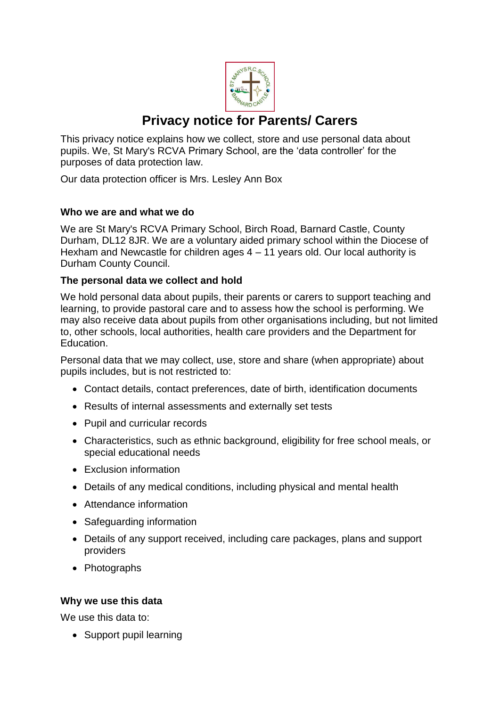

# **Privacy notice for Parents/ Carers**

This privacy notice explains how we collect, store and use personal data about pupils. We, St Mary's RCVA Primary School, are the 'data controller' for the purposes of data protection law.

Our data protection officer is Mrs. Lesley Ann Box

# **Who we are and what we do**

We are St Mary's RCVA Primary School, Birch Road, Barnard Castle, County Durham, DL12 8JR. We are a voluntary aided primary school within the Diocese of Hexham and Newcastle for children ages  $4 - 11$  years old. Our local authority is Durham County Council.

## **The personal data we collect and hold**

We hold personal data about pupils, their parents or carers to support teaching and learning, to provide pastoral care and to assess how the school is performing. We may also receive data about pupils from other organisations including, but not limited to, other schools, local authorities, health care providers and the Department for Education.

Personal data that we may collect, use, store and share (when appropriate) about pupils includes, but is not restricted to:

- Contact details, contact preferences, date of birth, identification documents
- Results of internal assessments and externally set tests
- Pupil and curricular records
- Characteristics, such as ethnic background, eligibility for free school meals, or special educational needs
- Exclusion information
- Details of any medical conditions, including physical and mental health
- Attendance information
- Safeguarding information
- Details of any support received, including care packages, plans and support providers
- Photographs

#### **Why we use this data**

We use this data to:

• Support pupil learning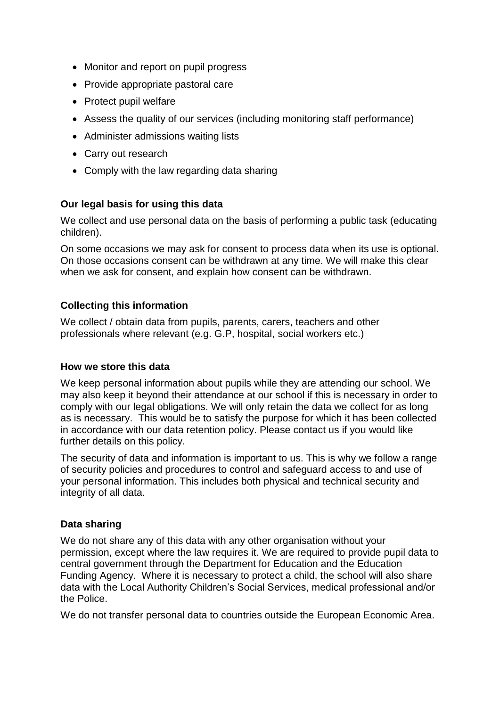- Monitor and report on pupil progress
- Provide appropriate pastoral care
- Protect pupil welfare
- Assess the quality of our services (including monitoring staff performance)
- Administer admissions waiting lists
- Carry out research
- Comply with the law regarding data sharing

## **Our legal basis for using this data**

We collect and use personal data on the basis of performing a public task (educating children).

On some occasions we may ask for consent to process data when its use is optional. On those occasions consent can be withdrawn at any time. We will make this clear when we ask for consent, and explain how consent can be withdrawn.

#### **Collecting this information**

We collect / obtain data from pupils, parents, carers, teachers and other professionals where relevant (e.g. G.P, hospital, social workers etc.)

#### **How we store this data**

We keep personal information about pupils while they are attending our school. We may also keep it beyond their attendance at our school if this is necessary in order to comply with our legal obligations. We will only retain the data we collect for as long as is necessary. This would be to satisfy the purpose for which it has been collected in accordance with our data retention policy. Please contact us if you would like further details on this policy.

The security of data and information is important to us. This is why we follow a range of security policies and procedures to control and safeguard access to and use of your personal information. This includes both physical and technical security and integrity of all data.

#### **Data sharing**

We do not share any of this data with any other organisation without your permission, except where the law requires it. We are required to provide pupil data to central government through the Department for Education and the Education Funding Agency. Where it is necessary to protect a child, the school will also share data with the Local Authority Children's Social Services, medical professional and/or the Police.

We do not transfer personal data to countries outside the European Economic Area.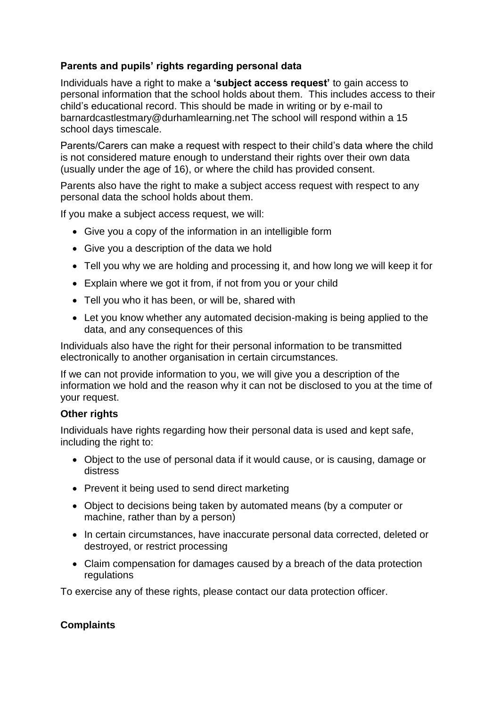# **Parents and pupils' rights regarding personal data**

Individuals have a right to make a **'subject access request'** to gain access to personal information that the school holds about them. This includes access to their child's educational record. This should be made in writing or by e-mail to barnardcastlestmary@durhamlearning.net The school will respond within a 15 school days timescale.

Parents/Carers can make a request with respect to their child's data where the child is not considered mature enough to understand their rights over their own data (usually under the age of 16), or where the child has provided consent.

Parents also have the right to make a subject access request with respect to any personal data the school holds about them.

If you make a subject access request, we will:

- Give you a copy of the information in an intelligible form
- Give you a description of the data we hold
- Tell you why we are holding and processing it, and how long we will keep it for
- Explain where we got it from, if not from you or your child
- Tell you who it has been, or will be, shared with
- Let you know whether any automated decision-making is being applied to the data, and any consequences of this

Individuals also have the right for their personal information to be transmitted electronically to another organisation in certain circumstances.

If we can not provide information to you, we will give you a description of the information we hold and the reason why it can not be disclosed to you at the time of your request.

#### **Other rights**

Individuals have rights regarding how their personal data is used and kept safe, including the right to:

- Object to the use of personal data if it would cause, or is causing, damage or distress
- Prevent it being used to send direct marketing
- Object to decisions being taken by automated means (by a computer or machine, rather than by a person)
- In certain circumstances, have inaccurate personal data corrected, deleted or destroyed, or restrict processing
- Claim compensation for damages caused by a breach of the data protection regulations

To exercise any of these rights, please contact our data protection officer.

# **Complaints**